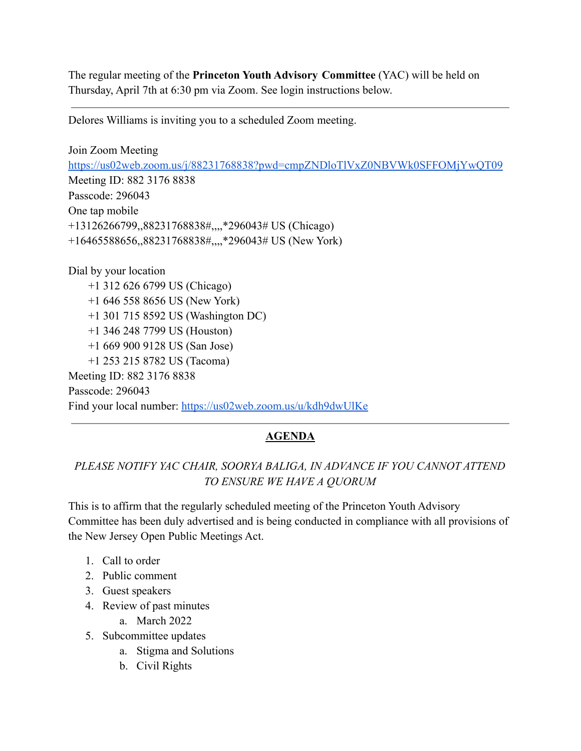The regular meeting of the **Princeton Youth Advisory Committee** (YAC) will be held on Thursday, April 7th at 6:30 pm via Zoom. See login instructions below.

Delores Williams is inviting you to a scheduled Zoom meeting.

Join Zoom Meeting <https://us02web.zoom.us/j/88231768838?pwd=cmpZNDloTlVxZ0NBVWk0SFFOMjYwQT09> Meeting ID: 882 3176 8838 Passcode: 296043 One tap mobile +13126266799,,88231768838#,,,,\*296043# US (Chicago) +16465588656,,88231768838#,,,,\*296043# US (New York)

Dial by your location +1 312 626 6799 US (Chicago) +1 646 558 8656 US (New York) +1 301 715 8592 US (Washington DC) +1 346 248 7799 US (Houston) +1 669 900 9128 US (San Jose) +1 253 215 8782 US (Tacoma) Meeting ID: 882 3176 8838 Passcode: 296043 Find your local number: <https://us02web.zoom.us/u/kdh9dwUlKe>

## **AGENDA**

## *PLEASE NOTIFY YAC CHAIR, SOORYA BALIGA, IN ADVANCE IF YOU CANNOT ATTEND TO ENSURE WE HAVE A QUORUM*

This is to affirm that the regularly scheduled meeting of the Princeton Youth Advisory Committee has been duly advertised and is being conducted in compliance with all provisions of the New Jersey Open Public Meetings Act.

- 1. Call to order
- 2. Public comment
- 3. Guest speakers
- 4. Review of past minutes
	- a. March 2022
- 5. Subcommittee updates
	- a. Stigma and Solutions
	- b. Civil Rights